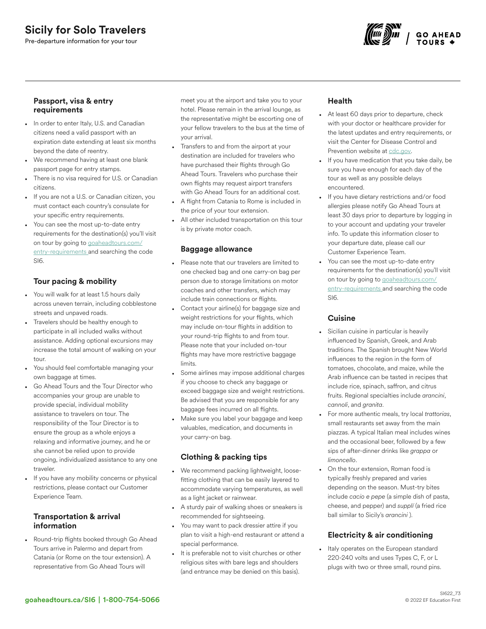# Sicily for Solo Travelers

Pre-departure information for your tour



#### Passport, visa & entry requirements

- In order to enter Italy, U.S. and Canadian citizens need a valid passport with an expiration date extending at least six months beyond the date of reentry.
- We recommend having at least one blank passport page for entry stamps.
- There is no visa required for U.S. or Canadian citizens.
- If you are not a U.S. or Canadian citizen, you must contact each country's consulate for your specific entry requirements.
- You can see the most up-to-date entry requirements for the destination(s) you'll visit on tour by going to [goaheadtours.com/](/entry-requirements?tourCode=SI6) [entry-requirements](/entry-requirements?tourCode=SI6) and searching the code SI6.

## Tour pacing & mobility

- You will walk for at least 1.5 hours daily across uneven terrain, including cobblestone streets and unpaved roads.
- Travelers should be healthy enough to participate in all included walks without assistance. Adding optional excursions may increase the total amount of walking on your tour.
- You should feel comfortable managing your own baggage at times.
- Go Ahead Tours and the Tour Director who accompanies your group are unable to provide special, individual mobility assistance to travelers on tour. The responsibility of the Tour Director is to ensure the group as a whole enjoys a relaxing and informative journey, and he or she cannot be relied upon to provide ongoing, individualized assistance to any one traveler.
- If you have any mobility concerns or physical restrictions, please contact our Customer Experience Team.

## Transportation & arrival information

• Round-trip flights booked through Go Ahead Tours arrive in Palermo and depart from Catania (or Rome on the tour extension). A representative from Go Ahead Tours will

meet you at the airport and take you to your hotel. Please remain in the arrival lounge, as the representative might be escorting one of your fellow travelers to the bus at the time of your arrival.

- Transfers to and from the airport at your destination are included for travelers who have purchased their flights through Go Ahead Tours. Travelers who purchase their own flights may request airport transfers with Go Ahead Tours for an additional cost.
- A flight from Catania to Rome is included in the price of your tour extension.
- All other included transportation on this tour is by private motor coach.

### Baggage allowance

- Please note that our travelers are limited to one checked bag and one carry-on bag per person due to storage limitations on motor coaches and other transfers, which may include train connections or flights.
- Contact your airline(s) for baggage size and weight restrictions for your flights, which may include on-tour flights in addition to your round-trip flights to and from tour. Please note that your included on-tour flights may have more restrictive baggage limits.
- Some airlines may impose additional charges if you choose to check any baggage or exceed baggage size and weight restrictions. Be advised that you are responsible for any baggage fees incurred on all flights.
- Make sure you label your baggage and keep valuables, medication, and documents in your carry-on bag.

## Clothing & packing tips

- We recommend packing lightweight, loosefitting clothing that can be easily layered to accommodate varying temperatures, as well as a light jacket or rainwear.
- A sturdy pair of walking shoes or sneakers is recommended for sightseeing.
- You may want to pack dressier attire if you plan to visit a high-end restaurant or attend a special performance.
- It is preferable not to visit churches or other religious sites with bare legs and shoulders (and entrance may be denied on this basis).

## Health

- At least 60 days prior to departure, check with your doctor or healthcare provider for the latest updates and entry requirements, or visit the Center for Disease Control and Prevention website at [cdc.gov.](https://www.cdc.gov/)
- If you have medication that you take daily, be sure you have enough for each day of the tour as well as any possible delays encountered.
- If you have dietary restrictions and/or food allergies please notify Go Ahead Tours at least 30 days prior to departure by logging in to your account and updating your traveler info. To update this information closer to your departure date, please call our Customer Experience Team.
- You can see the most up-to-date entry requirements for the destination(s) you'll visit on tour by going to [goaheadtours.com/](/entry-requirements?tourCode=SI6) [entry-requirements](/entry-requirements?tourCode=SI6) and searching the code SI6.

#### Cuisine

- Sicilian cuisine in particular is heavily influenced by Spanish, Greek, and Arab traditions. The Spanish brought New World influences to the region in the form of tomatoes, chocolate, and maize, while the Arab influence can be tasted in recipes that include rice, spinach, saffron, and citrus fruits. Regional specialties include *arancini*, *cannoli*, and *granita*.
- For more authentic meals, try local *trattorias*, small restaurants set away from the main piazzas. A typical Italian meal includes wines and the occasional beer, followed by a few sips of after-dinner drinks like *grappa* or *limoncello*.
- On the tour extension, Roman food is typically freshly prepared and varies depending on the season. Must-try bites include *cacio e pepe* (a simple dish of pasta, cheese, and pepper) and *supplí* (a fried rice ball similar to Sicily's *arancini* ).

## Electricity & air conditioning

Italy operates on the European standard 220-240 volts and uses Types C, F, or L plugs with two or three small, round pins.